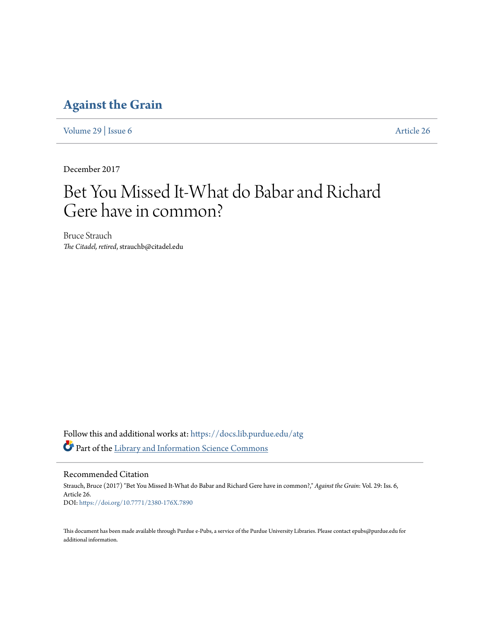### **[Against the Grain](https://docs.lib.purdue.edu/atg?utm_source=docs.lib.purdue.edu%2Fatg%2Fvol29%2Fiss6%2F26&utm_medium=PDF&utm_campaign=PDFCoverPages)**

[Volume 29](https://docs.lib.purdue.edu/atg/vol29?utm_source=docs.lib.purdue.edu%2Fatg%2Fvol29%2Fiss6%2F26&utm_medium=PDF&utm_campaign=PDFCoverPages) | [Issue 6](https://docs.lib.purdue.edu/atg/vol29/iss6?utm_source=docs.lib.purdue.edu%2Fatg%2Fvol29%2Fiss6%2F26&utm_medium=PDF&utm_campaign=PDFCoverPages) [Article 26](https://docs.lib.purdue.edu/atg/vol29/iss6/26?utm_source=docs.lib.purdue.edu%2Fatg%2Fvol29%2Fiss6%2F26&utm_medium=PDF&utm_campaign=PDFCoverPages)

December 2017

# Bet You Missed It-What do Babar and Richard Gere have in common?

Bruce Strauch *The Citadel, retired*, strauchb@citadel.edu

Follow this and additional works at: [https://docs.lib.purdue.edu/atg](https://docs.lib.purdue.edu/atg?utm_source=docs.lib.purdue.edu%2Fatg%2Fvol29%2Fiss6%2F26&utm_medium=PDF&utm_campaign=PDFCoverPages) Part of the [Library and Information Science Commons](http://network.bepress.com/hgg/discipline/1018?utm_source=docs.lib.purdue.edu%2Fatg%2Fvol29%2Fiss6%2F26&utm_medium=PDF&utm_campaign=PDFCoverPages)

Recommended Citation

Strauch, Bruce (2017) "Bet You Missed It-What do Babar and Richard Gere have in common?," *Against the Grain*: Vol. 29: Iss. 6, Article 26. DOI: <https://doi.org/10.7771/2380-176X.7890>

This document has been made available through Purdue e-Pubs, a service of the Purdue University Libraries. Please contact epubs@purdue.edu for additional information.